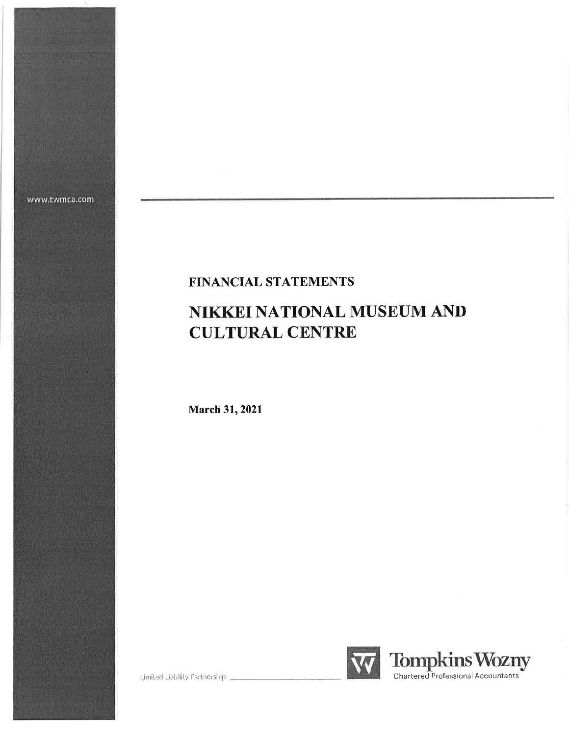



# NIKKEI NATIONAL MUSEUM ANI) CULTURAL CENTRE

March 31,2021

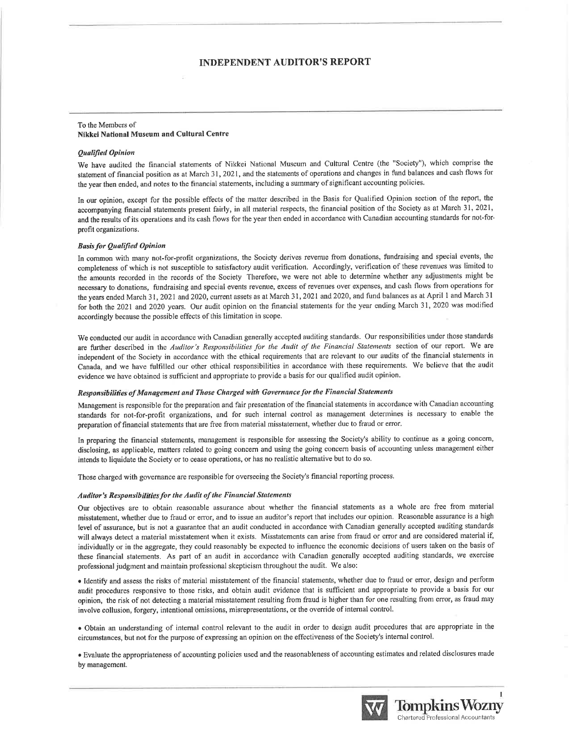#### INDEPENDENT AUDITOR'S REPORT

#### To the Members of Nikkel National Museum and Cultural Centre

#### Qualifted Opinion

We have audited the financial statements of Nikkei National Museum and Cultural Centre (the "Society"), which comprise the statement of financial position as at March 31, 2021, and the statements of operations and changes in fund balances and cash flows for the year then ended, and notes to the financial statements, including a summary of significant accounting policies.

In our opinion, except for the possible effects of the matter described in the Basis for Qualified Opinion section of the report, the accompanying financial statements present fairly, in all material respects, the financial position of the Society as at March 31, 2021, and the results of its operations and its cash flows for the year then ended in accordance with Canadian accounting standards for not-for' profit organizations.

#### <sup>B</sup>asis for Qualified Opinion

In common with many not-for-profit organizations, the Society derives revenne from donations, fundraising and special events, the completoness of which is not susceptible to satisfactory audit verification. Accordingly, verification of these revenues was limited to the amounts recorded in the records of the Society Therefore, we were not able to determine whether any adjustrnents might be necessary to donations, fundraising and special events revenue, excess of revenues over expenses, and cash flows from operations for the years ended March 31, 2021 and 2020, current assets as at March 31, 2021 and 2020, and fund balances as at April 1 and March 31 for both the 2021 and 2020 years. Our audit opinion on the financial statements for the year ending March 31, 2020 was modified accordingly because the possible effeots of this limitation in scope.

We conducted our audit in accordance with Canadian generally accepted auditing standards. Our responsibilities under those standards are further described in the Auditor's Responsibilities for the Audit of the Financial Statements section of our report. We are independent of the Society in accordance with the ethical requirements that are relevant to our audits of the financial statements in Canada, and we have fulfilled our other ethical responsibilities in accordance with these requirements. We believe that the audit evidence we have obtained is sufficient and appropriate to provide a basis for our qualified audit opinion'

#### Responsibilities of Management and Those Charged with Governance for the Financial Statements

Management is responsible for the preparation and fair presentation of the financial statements in accordance with Canadian accounting standards for not-for-profit organizations, and for such internal control as management determines is necessary to enable the preparation of financial statements that are free from material misstatement, whether due to fraud or error.

In preparing the financial statements, management is responsible for assessing the Society's ability to continue as a going concem, disclosing, as applicable, matters related to going concern and using the going concern basis of accounting unless management either intends to liquidate the Society or to cease operations, or has no realistic alternative but to do so.

Those charged with govemance are responsible for overseeing the Society's financial reporting process.

#### Auditor's Responsibilities for the Audit of the Financial Statements

Our objectives are to obtain reasonable assurance about whether the financial statements as a whole are free from material misstatement, whether due to fraud or error, and to issue an auditor's report that includes our opinion. Reasonable assurance is a high level of assurance, but is not a guarantee that an audit conducted in accordance with Canadian generally accepted auditing standards will always detect a material misstatement when it exists. Misstatements can arise from fraud or error and are considered material if, individually or in the aggregate, they could reasonably be expected to influence the economic decisions of users taken on the basis of these financial statements. As part of an audit in accordance with Canadian generally accepted auditing standards, we exercise professional judgment and maintain professional skepticism throughout the audit. We also:

• Identify and assess the risks of material misstatement of the financial statements, whether due to fraud or error, design and perform audit procedures responsive to those risks, and obtain audit evidence that is sufficient and appropriate to provide a basis for our opinion, the risk of not detecting a material misstatement resulting from fraud is higher than for one resulting from error, as fraud may involve collusion, forgery, intentional omissions, misrepresentations, or the override of intemal control.

r Obtain an understanding of internal control relevant to the audit in order to design audit procedures that are appropriate in the circumstances, but not for the purpose ofexpressing an opinion on the effectiveness ofthe Society's intemal control.

o Evaluate the appropriateness of accounting policies used and the reasonableness of accounting estimates and related disclosures made by management.



 $\mathbf{I}$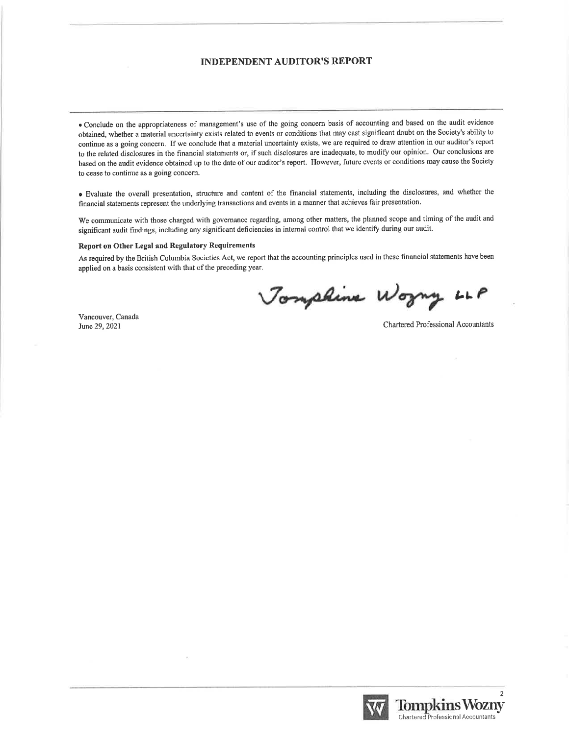#### INDEPENDENT AUDITOR'S REPORT

r Conclude on the appropriateness of management's use of the going concern basis of accounting and based on the audit evidence obtained, whether a material uncertainty exists related to events or conditions that may cast significant doubt on the Society's ability to continue as a going concern. If we conclude that a material uncertainty exists, we are required to draw attention in our auditor's report to the related disclosures in the financial statements or, if such disclosures are inadequate, to modify our opinion. Our conclusions are based on the audit evidence obtained up to the date of our auditor's report. However, future events or conditions may cause the Society to cease to continue as a going concem.

r Evaluate the overall presentation, structure and content of the financial statements, including the disclosures, and whether the financial statements represent the underlying transactions and events in a manner that achieves fair presentation.

We communicate with those charged with govemance regarding, among other matters, the planned scope and timing of the audit and significant audit findings, including any significant deficiencies in internal control that we identify during our audit.

#### Report on Other Legal and Regulatory Requirements

As required by the British Columbia Societies Act, we report that the accounting principles used in these financial statements have been applied on a basis consistent with that of the preceding year.

Jomphine Wogny

Vancouver, Canada<br>June 29, 2021

Chartered Professional Accountants

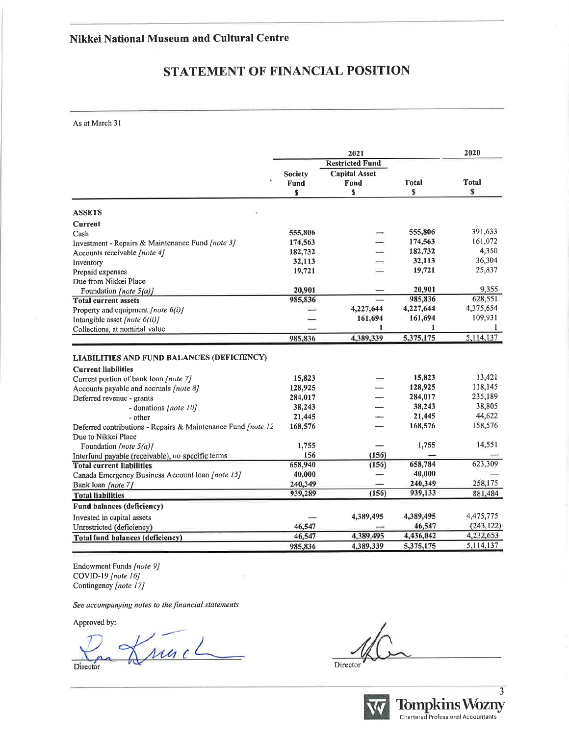## STATEMENT OF FINANCIAL POSITION

As at March 31

|                                                                       | 2021                   |                      | 2020      |              |
|-----------------------------------------------------------------------|------------------------|----------------------|-----------|--------------|
|                                                                       | <b>Restricted Fund</b> |                      |           |              |
|                                                                       | <b>Society</b>         | <b>Capital Asset</b> |           |              |
|                                                                       | <b>Fund</b>            | <b>Fund</b>          | Total     | <b>Total</b> |
|                                                                       | \$                     | S                    | \$        | S            |
| <b>ASSETS</b>                                                         |                        |                      |           |              |
| <b>Current</b>                                                        |                        |                      |           |              |
| Cash                                                                  | 555,806                |                      | 555,806   | 391,633      |
| Investment - Repairs & Maintenance Fund [note 3]                      | 174,563                |                      | 174,563   | 161,072      |
| Accounts receivable [note 4]                                          | 182,732                |                      | 182,732   | 4,350        |
| Inventory                                                             | 32,113                 |                      | 32,113    | 36,304       |
| Prepaid expenses                                                      | 19,721                 |                      | 19,721    | 25,837       |
| Due from Nikkei Place                                                 |                        |                      |           |              |
| Foundation [note $5(a)$ ]                                             | 20,901                 |                      | 20,901    | 9,355        |
| <b>Total current assets</b>                                           | 985,836                |                      | 985,836   | 628,551      |
| Property and equipment [note $6(i)$ ]                                 |                        | 4,227,644            | 4,227,644 | 4,375,654    |
| Intangible asset $ note~6(ii) $                                       |                        | 161,694              | 161,694   | 109,931      |
| Collections, at nominal value                                         |                        | 1                    | 1         |              |
|                                                                       | 985,836                | 4,389,339            | 5,375,175 | 5,114,137    |
| <b>LIABILITIES AND FUND BALANCES (DEFICIENCY)</b>                     |                        |                      |           |              |
| <b>Current liabilities</b>                                            |                        |                      |           |              |
| Current portion of bank loan [note 7]                                 | 15,823                 |                      | 15,823    | 13,421       |
| Accounts payable and accruals [note 8]                                | 128,925                |                      | 128,925   | 118,145      |
| Deferred revenue - grants                                             | 284,017                |                      | 284,017   | 235,189      |
| - donations [note 10]                                                 | 38,243                 |                      | 38,243    | 38,805       |
| - other                                                               | 21,445                 |                      | 21,445    | 44,622       |
| Deferred contributions - Repairs & Maintenance Fund <i>[note 12</i> ] | 168,576                |                      | 168,576   | 158,576      |
| Due to Nikkei Place                                                   |                        |                      |           |              |
| Foundation [note $5(a)$ ]                                             | 1,755                  |                      | 1,755     | 14,551       |
| Interfund payable (receivable), no specific terms                     | 156                    | (156)                |           |              |
| <b>Total current liabilities</b>                                      | 658,940                | (156)                | 658,784   | 623,309      |
| Canada Emergency Business Account loan [note 15]                      | 40,000                 |                      | 40,000    |              |
| Bank loan /note 7]                                                    | 240,349                |                      | 240,349   | 258,175      |
| <b>Total liabilities</b>                                              | 939,289                | (156)                | 939,133   | 881,484      |
| <b>Fund balances (deficiency)</b>                                     |                        |                      |           |              |
| Invested in capital assets                                            |                        | 4,389,495            | 4,389,495 | 4,475,775    |
| Unrestricted (deficiency)                                             | 46,547                 |                      | 46,547    | (243, 122)   |
| <b>Total fund balances (deficiency)</b>                               | 46,547                 | 4,389,495            | 4,436,042 | 4,232,653    |
|                                                                       | 985,836                | 4,389,339            | 5,375,175 | 5,114,137    |

Endowment Funds [note 9J COVID-I9 [note 16] Contingency [note 17J

See accompanying notes to the financial statements

Approved by:

Director

**Director** 

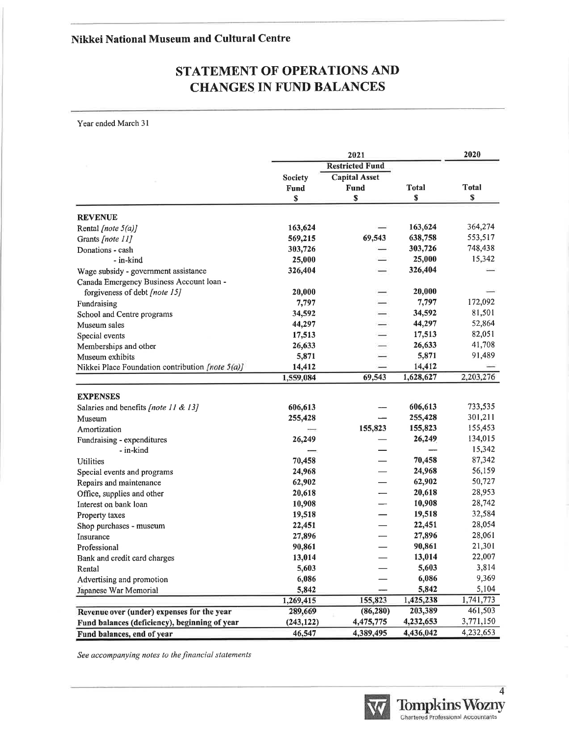## STATEMENT OF OPERATIONS AND CHANGES IN FUND BALANCES

Year ended March 31

|                                                  |            | 2021                   |              | 2020         |
|--------------------------------------------------|------------|------------------------|--------------|--------------|
|                                                  |            | <b>Restricted Fund</b> |              |              |
|                                                  | Society    | <b>Capital Asset</b>   |              |              |
|                                                  | Fund       | <b>Fund</b>            | <b>Total</b> | <b>Total</b> |
|                                                  | S          | \$                     | \$           | \$           |
|                                                  |            |                        |              |              |
| <b>REVENUE</b>                                   |            |                        |              |              |
| Rental [note $5(a)$ ]                            | 163,624    |                        | 163,624      | 364,274      |
| Grants [note 11]                                 | 569,215    | 69,543                 | 638,758      | 553,517      |
| Donations - cash                                 | 303,726    |                        | 303,726      | 748,438      |
| - in-kind                                        | 25,000     |                        | 25,000       | 15,342       |
| Wage subsidy - government assistance             | 326,404    |                        | 326,404      |              |
| Canada Emergency Business Account loan -         |            |                        |              |              |
| forgiveness of debt [note 15]                    | 20,000     |                        | 20,000       |              |
| Fundraising                                      | 7,797      |                        | 7,797        | 172,092      |
| School and Centre programs                       | 34,592     |                        | 34,592       | 81,501       |
| Museum sales                                     | 44,297     |                        | 44,297       | 52,864       |
| Special events                                   | 17,513     |                        | 17,513       | 82,051       |
| Memberships and other                            | 26,633     |                        | 26,633       | 41,708       |
| Museum exhibits                                  | 5,871      |                        | 5,871        | 91,489       |
| Nikkei Place Foundation contribution [note 5(a)] | 14,412     |                        | 14,412       |              |
|                                                  | 1,559,084  | 69,543                 | 1,628,627    | 2,203,276    |
| <b>EXPENSES</b>                                  |            |                        |              |              |
|                                                  | 606,613    |                        | 606,613      | 733,535      |
| Salaries and benefits [note 11 & 13]             |            |                        | 255,428      | 301,211      |
| Museum                                           | 255,428    | 155,823                |              | 155,453      |
| Amortization                                     |            |                        | 155,823      |              |
| Fundraising - expenditures                       | 26,249     |                        | 26,249       | 134,015      |
| - in-kind                                        |            |                        |              | 15,342       |
| <b>Utilities</b>                                 | 70,458     |                        | 70,458       | 87,342       |
| Special events and programs                      | 24,968     |                        | 24,968       | 56,159       |
| Repairs and maintenance                          | 62,902     |                        | 62,902       | 50,727       |
| Office, supplies and other                       | 20,618     |                        | 20,618       | 28,953       |
| Interest on bank loan                            | 10,908     |                        | 10,908       | 28,742       |
| Property taxes                                   | 19,518     |                        | 19,518       | 32,584       |
| Shop purchases - museum                          | 22,451     |                        | 22,451       | 28,054       |
| Insurance                                        | 27,896     |                        | 27,896       | 28,061       |
| Professional                                     | 90,861     |                        | 90,861       | 21,301       |
| Bank and credit card charges                     | 13,014     |                        | 13,014       | 22,007       |
| Rental                                           | 5,603      |                        | 5,603        | 3,814        |
| Advertising and promotion                        | 6,086      |                        | 6,086        | 9,369        |
| Japanese War Memorial                            | 5,842      |                        | 5,842        | 5,104        |
|                                                  | 1,269,415  | 155,823                | 1,425,238    | 1,741,773    |
| Revenue over (under) expenses for the year       | 289,669    | (86, 280)              | 203,389      | 461,503      |
| Fund balances (deficiency), beginning of year    | (243, 122) | 4,475,775              | 4,232,653    | 3,771,150    |
| Fund balances, end of year                       | 46,547     | 4,389,495              | 4,436,042    | 4,232,653    |

See accompanying notes to the financial statements

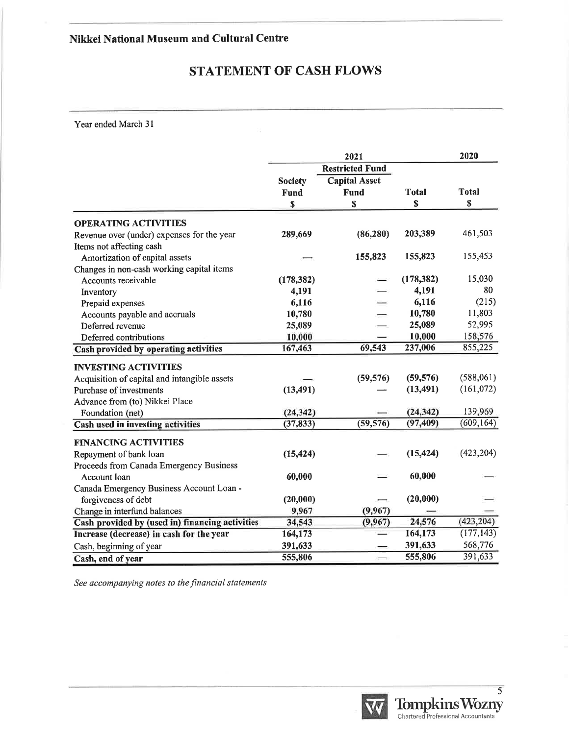## STATEMENT OF CASH FLOWS

Year ended March 3l

|                                                 |                  | 2021                   |              | 2020         |
|-------------------------------------------------|------------------|------------------------|--------------|--------------|
|                                                 |                  | <b>Restricted Fund</b> |              |              |
|                                                 | <b>Society</b>   | <b>Capital Asset</b>   |              |              |
|                                                 | Fund             | <b>Fund</b>            | <b>Total</b> | <b>Total</b> |
|                                                 | $\boldsymbol{s}$ | \$                     | \$           | \$           |
| <b>OPERATING ACTIVITIES</b>                     |                  |                        |              |              |
| Revenue over (under) expenses for the year      | 289,669          | (86, 280)              | 203,389      | 461,503      |
| Items not affecting cash                        |                  |                        |              |              |
| Amortization of capital assets                  |                  | 155,823                | 155,823      | 155,453      |
| Changes in non-cash working capital items       |                  |                        |              |              |
| Accounts receivable                             | (178, 382)       |                        | (178, 382)   | 15,030       |
| Inventory                                       | 4,191            |                        | 4,191        | 80           |
| Prepaid expenses                                | 6,116            |                        | 6,116        | (215)        |
| Accounts payable and accruals                   | 10,780           |                        | 10,780       | 11,803       |
| Deferred revenue                                | 25,089           |                        | 25,089       | 52,995       |
| Deferred contributions                          | 10,000           |                        | 10,000       | 158,576      |
| Cash provided by operating activities           | 167,463          | 69,543                 | 237,006      | 855,225      |
| <b>INVESTING ACTIVITIES</b>                     |                  |                        |              |              |
| Acquisition of capital and intangible assets    |                  | (59, 576)              | (59, 576)    | (588,061)    |
| Purchase of investments                         | (13, 491)        |                        | (13, 491)    | (161, 072)   |
| Advance from (to) Nikkei Place                  |                  |                        |              |              |
| Foundation (net)                                | (24, 342)        |                        | (24, 342)    | 139,969      |
| Cash used in investing activities               | (37, 833)        | (59, 576)              | (97, 409)    | (609, 164)   |
| <b>FINANCING ACTIVITIES</b>                     |                  |                        |              |              |
| Repayment of bank loan                          | (15, 424)        |                        | (15, 424)    | (423, 204)   |
| Proceeds from Canada Emergency Business         |                  |                        |              |              |
| Account loan                                    | 60,000           |                        | 60,000       |              |
| Canada Emergency Business Account Loan -        |                  |                        |              |              |
| forgiveness of debt                             | (20,000)         |                        | (20,000)     |              |
| Change in interfund balances                    | 9,967            | (9,967)                |              |              |
| Cash provided by (used in) financing activities | 34,543           | (9,967)                | 24,576       | (423, 204)   |
| Increase (decrease) in cash for the year        | 164,173          |                        | 164,173      | (177, 143)   |
| Cash, beginning of year                         | 391,633          |                        | 391,633      | 568,776      |
| Cash, end of year                               | 555,806          |                        | 555,806      | 391,633      |

See accompanying notes to the financial statements

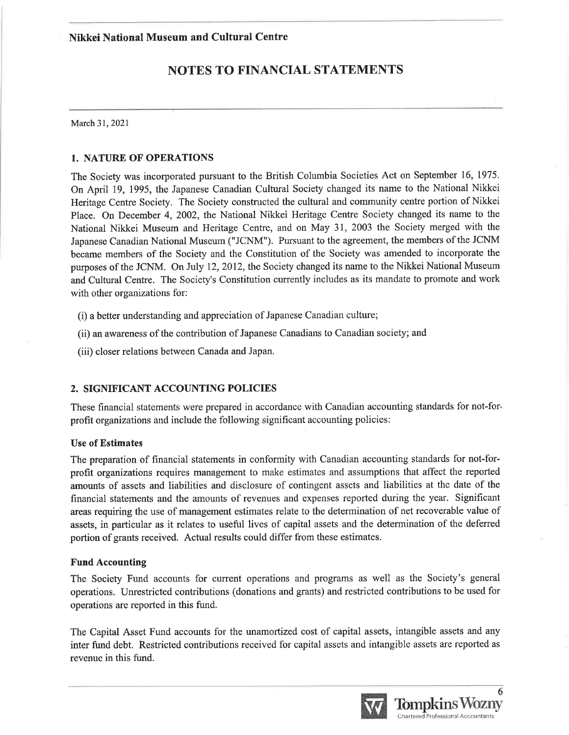March 31,2021

#### 1. NATURE OF OPERATIONS

The Society was incorporated pursuant to the British Columbia Societies Act on September 16,1975. On April 19, 1995, the Japanese Canadian Cultural Society changed its name to the National Nikkei Heritage Centre Society. The Society constructed the cultural and community centre portion of Nikkei Place. On December 4,2002, the National Nikkei Heritage Centre Society changed its name to the National Nikkei Museum and Heritage Centre, and on May 31, 2003 the Society merged with the Japanese Canadian National Museum ("JCNM"). Pursuant to the agreement, the members of the JCNM became members of the Society and the Constitution of the Society was amended to incorporate the purposes of the JCNM. On July 12,2012, the Society changed its name to the Nikkei National Museum and Cultural Centre. The Society's Constitution currently includes as its mandate to promote and work with other organizations for:

(i) a better understanding and appreciation of Japanese Canadian culture;

(ii) an awareness of the contribution of Japanese Canadians to Canadian society; and

(iii) closer relations between Canada and Japan.

### 2. SIGNIFICANT ACCOUNTING POLICIES

These financial statements were prepared in accordance with Canadian accounting standards for not-for. profit organizations and include the following significant accounting policies:

#### Use of Estimates

The preparation of financial statements in conformity with Canadian accounting standards for not-forprofit organizations requires management to make estimates and assumptions that affect the reported amounts of assets and liabilities and disclosure of contingent assets and liabilities at the date of the financial statements and the amounts of revenues and expenses reported during the year. Significant areas requiring the use of management estimates relate to the determination of net recoverable value of assets, in particular as it relates to useful lives of capital assets and the determination of the deferred portion of grants received. Actual results could differ from these estimates.

### Fund Accounting

The Society Fund accounts for current operations and programs as well as the Society's general operations. Unrestricted contributions (donations and grants) and restricted contributions to be used for operations are reported in this fund.

The Capital Asset Fund accounts for the unamortized cost of capital assets, intangible assets and any inter fund debt. Restricted contributions received for capital assets and intangible assets are reported as revenue in this fund.

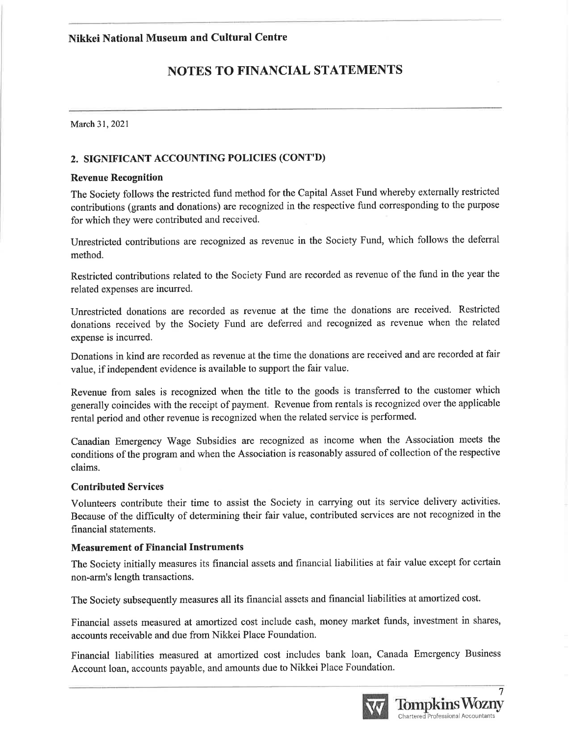March 31,2021

#### 2. STGNTFICANT ACCOUNTING POLICIES (CONT'D)

#### Revenue Recognition

The Society follows the restricted fund method for the Capital Asset Fund whereby externally restricted contributions (grants and donations) are recognized in the respective fund corresponding to the purpose for which they were contributed and received

Unrestricted contributions are recognized as revenue in the Society Fund, which follows the deferral method.

Restricted contributions related to the Society Fund are recorded as revenue of the fund in the year the related expenses are incurred.

Unrestricted donations are recorded as revenue at the time the donations are received. Restricted donations received by the Society Fund are deferred and recognized as revenue when the related expense is incurred.

Donations in kind are recorded as revenue at the time the donations are received and are recorded at fair value, if independent evidence is available to support the fair value.

Revenue from sales is recognized when the title to the goods is transferred to the customer which generally coincides with the receipt of payment. Revenue from rentals is recognized over the applicable rental period and other revenue is recognized when the related service is performed.

Canadian Emergency Wage Subsidies are recognized as income when the Association meets the conditions of the program and when the Association is reasonably assured of collection of the respective claims.

#### Contributed Services

Volunteers contribute their time to assist the Society in carrying out its service delivery activities' Because of the difficulty of determining their fair value, contributed services are not recognized in the financial statements.

#### Measurement of Financial Instruments

The Society initially measures its financial assets and financial liabilities at fair value except for certain non-arm's length transactions.

The Society subsequently measures all its financial assets and financial liabilities at amortized cost.

Financial assets measured at amortized cost include cash, money market funds, investment in shares, accounts receivable and due from Nikkei Place Foundation.

Financial liabilities measured at amortized cost includes bank loan, Canada Emergency Business Account loan, accounts payable, and amounts due to Nikkei Place Foundation.



7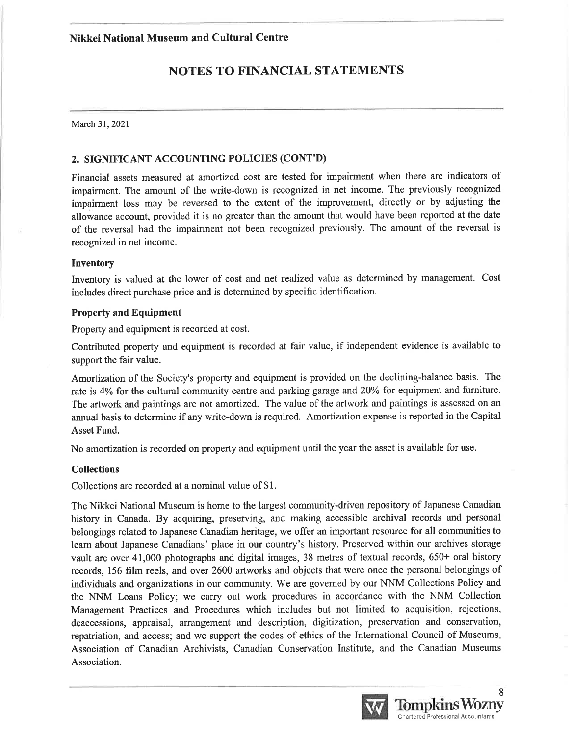March 31,2021

### 2. SIGNIFICANT ACCOUNTING POLICIES (CONT'D)

Financial assets measured at amortized cost are tested for impairment when there are indicators of impairment. The amount of the write-down is recognized in net income. The previously recognized impairment loss may be reversed to the extent of the improvement, directly or by adjusting the allowance account, provided it is no greater than the amount that would have been reported at the date of the reversal had the impairment not been recognized previously. The amount of the reversal is recognized in net income.

#### Inventory

Inventory is valued at the lower of cost and net realized value as determined by management. Cost includes direct purchase price and is determined by specific identification.

#### Property and Equipment

Property and equipment is recorded at cost.

Contributed property and equipment is recorded at fair value, if independent evidence is available to support the fair value.

Amortization of the Society's property and equipment is provided on the declining-balance basis. The rate is 4% for the cultural community centre and parking garage and 20% for equipment and furniture. The artwork and paintings are not amortized. The value of the artwork and paintings is assessed on an annual basis to determine if any write-down is required. Amortization expense is reported in the Capital Asset Fund.

No amortization is recorded on property and equipment until the year the asset is available for use.

#### Collections

Collections are recorded at a nominal value of \$1.

The Nikkei National Museum is home to the largest community-driven repository of Japanese Canadian history in Canada. By acquiring, preserving, and making accessible archival records and personal belongings related to Japanese Canadian heritage, we offer an important resource for all communities to learn about Japanese Canadians' place in our country's history. Preserved within our archives storage vault are over 41,000 photographs and digital images, 38 metres of textual records, 650+ oral history records, 156 film reels, and over 2600 artworks and objects that were once the personal belongings of individuals and organizations in our community. We are governed by our NNM Collections Policy and the NNM Loans Policy; we carry out work procedures in accordance with the NNM Collection Management Practices and Procedures which includes but not limited to acquisition, rejections, deaccessions, appraisal, arrangement and description, digitization, preservation and conservation, repatriation, and access; and we support the codes of ethics of the Intemational Council of Museums, Association of Canadian Archivists, Canadian Conservation Institute, and the Canadian Museums Association.

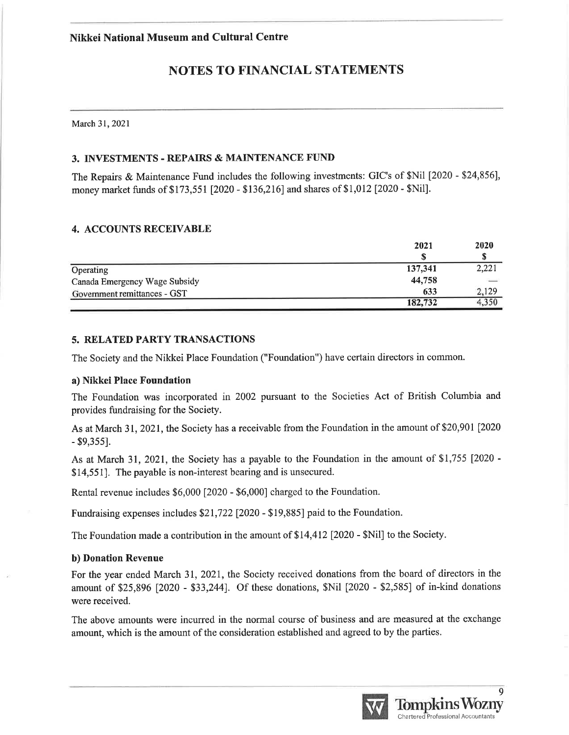March 31,2021

#### 3. INVESTMENTS. REPAIRS & MAINTENANCE FUND

The Repairs & Maintenance Fund includes the following investments: GIC's of \$Nil 12020 - \$24,856], money market funds of  $$173,551$  [2020 - \$136,216] and shares of  $$1,012$  [2020 - \$Nil].

#### 4. ACCOUNTS RECEIVABLE

|                               | 2021    | 2020          |
|-------------------------------|---------|---------------|
|                               |         |               |
| Operating                     | 137,341 | 2,221         |
| Canada Emergency Wage Subsidy | 44,758  | The County of |
| Government remittances - GST  | 633     | 2,129         |
|                               | 182,732 |               |

#### 5. RELATED PARTY TRANSACTIONS

The Society and the Nikkei Place Foundation ("Foundation") have certain directors in common.

#### a) Nikkei Place Foundation

The Foundation was incorporated in 2002 pursuant to the Societies Act of British Columbia and provides fundraising for the Society.

As at March 31, 2021, the Society has a receivable from the Foundation in the amount of \$20,901 [2020]  $-$  \$9,355].

As at March 31, 2021, the Society has a payable to the Foundation in the amount of \$1,755 [2020 -\$14,551]. The payable is non-interest bearing and is unsecured.

Rental revenue includes \$6,000 [2020 - \$6,000] charged to the Foundation.

Fundraising expenses includes \$21,722 [2020 - \$19,885] paid to the Foundation.

The Foundation made a contribution in the amount of \$14,412 [2020 - \$Nil] to the Society.

#### b) Donation Revenue

For the year ended March 3L,2021, the Society received donations from the board of directors in the amount of \$25,896 12020 - \$33,2441. Of these donations, \$Nil [2020 - \$2,585] of in-kind donations were received.

The above amounts were incurred in the normal course of business and are measured at the exchange amount, which is the amount of the consideration established and agreed to by the parties.

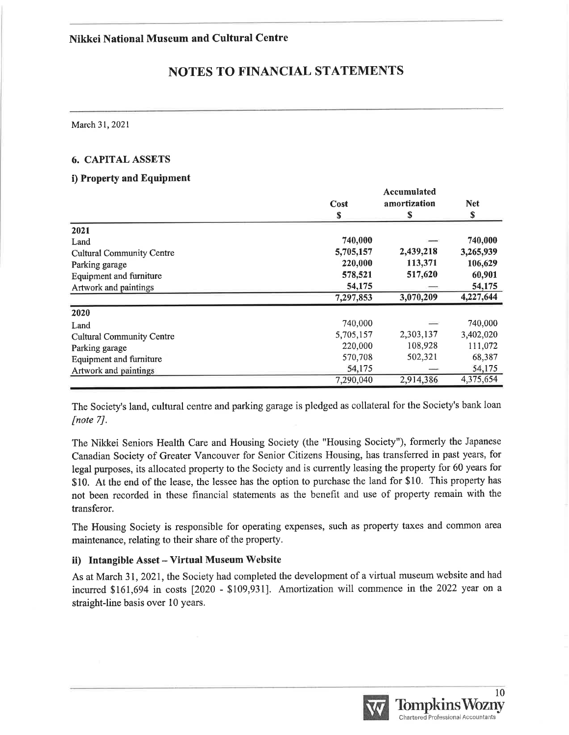March 31,2021

#### 6. CAPITAL ASSETS

#### i) Property and Equipment

|                                  | Accumulated |              |            |
|----------------------------------|-------------|--------------|------------|
|                                  | Cost        | amortization | <b>Net</b> |
|                                  | \$          | S            | S          |
| 2021                             |             |              |            |
| Land                             | 740,000     |              | 740,000    |
| <b>Cultural Community Centre</b> | 5,705,157   | 2,439,218    | 3,265,939  |
| Parking garage                   | 220,000     | 113,371      | 106,629    |
| Equipment and furniture          | 578,521     | 517,620      | 60,901     |
| Artwork and paintings            | 54,175      |              | 54,175     |
|                                  | 7,297,853   | 3,070,209    | 4,227,644  |
| 2020                             |             |              |            |
| Land                             | 740,000     |              | 740,000    |
| <b>Cultural Community Centre</b> | 5,705,157   | 2,303,137    | 3,402,020  |
| Parking garage                   | 220,000     | 108,928      | 111,072    |
| Equipment and furniture          | 570,708     | 502,321      | 68,387     |
| Artwork and paintings            | 54,175      |              | 54,175     |
|                                  | 7,290,040   | 2,914,386    | 4,375,654  |

The Society's land, cultural centre and parking garage is pledged as collateral for the Society's bank loan [note 7J.

The Nikkei Seniors Health Care and Housing Society (the "Housing Society"), formerly the Japanese Canadian Society of Greater Vancouver for Senior Citizens Housing, has transferred in past years, for legal purposes, its allocated property to the Society and is curently leasing the property for 60 years for \$10. At the end of the lease, the lessee has the option to purchase the land for \$10. This property has not been recorded in these financial statements as the benefit and use of property remain with the transferor.

The Housing Society is responsible for operating expenses, such as property taxes and common area maintenance, relating to their share of the property.

#### ii) Intangible Asset - Virtual Museum Website

As at March 31,2021, the Society had completed the development of a virfual museum website and had incurred \$161,694 in costs [2020 - \$109,931]. Amortization will commence in the 2022 year on a straight-line basis over 10 years.

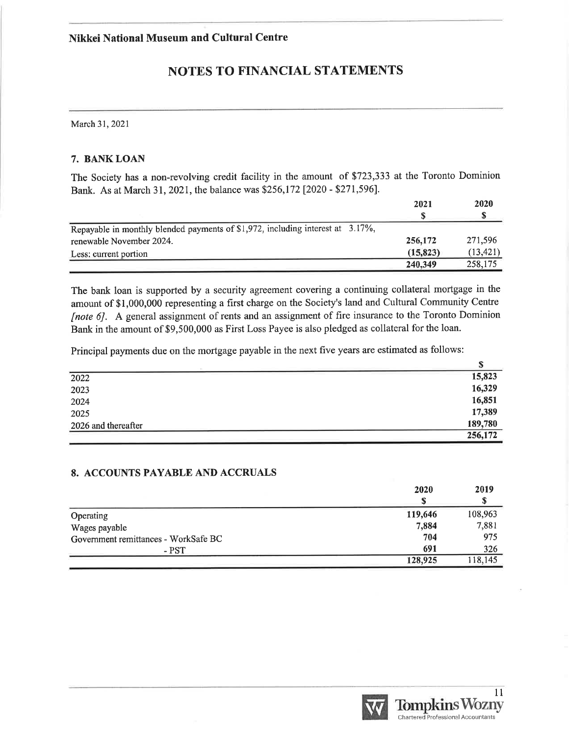March 31,2021

#### 7. BANKLOAN

The Society has a non-revolving credit facility in the amount of \$723,333 at the Toronto Dominion Bank. As at March 31, 2021, the balance was \$256,172 [2020 - \$271,596].

|                                                                                | 2021      | 2020      |
|--------------------------------------------------------------------------------|-----------|-----------|
|                                                                                |           |           |
| Repayable in monthly blended payments of \$1,972, including interest at 3.17%, |           |           |
| renewable November 2024.                                                       | 256,172   | 271,596   |
| Less: current portion                                                          | (15, 823) | (13, 421) |
|                                                                                | 240,349   | 258,175   |

The bank loan is supported by a security agreement covering a continuing collateral mortgage in the amount of \$1,000,000 representing a first charge on the Society's land and Cultural Community Centre [note 6]. A general assignment of rents and an assignment of fire insurance to the Toronto Dominion Bank in the amount of \$9,500,000 as First Loss Payee is also pledged as collateral for the loan.

Principal payments due on the mortgage payable in the next five years are estimated as follows:

| 2022                | 15,823  |
|---------------------|---------|
| 2023                | 16,329  |
| 2024                | 16,851  |
| 2025                | 17,389  |
| 2026 and thereafter | 189,780 |
|                     | 256,172 |

#### 8. ACCOUNTS PAYABLE AND ACCRUALS

|                                      | 2020    | 2019<br>Φ |
|--------------------------------------|---------|-----------|
|                                      |         |           |
| Operating                            | 119,646 | 108,963   |
| Wages payable                        | 7,884   | 7,881     |
| Government remittances - WorkSafe BC | 704     | 975       |
| - PST                                | 691     | 326       |
|                                      | 128,925 | 118,145   |

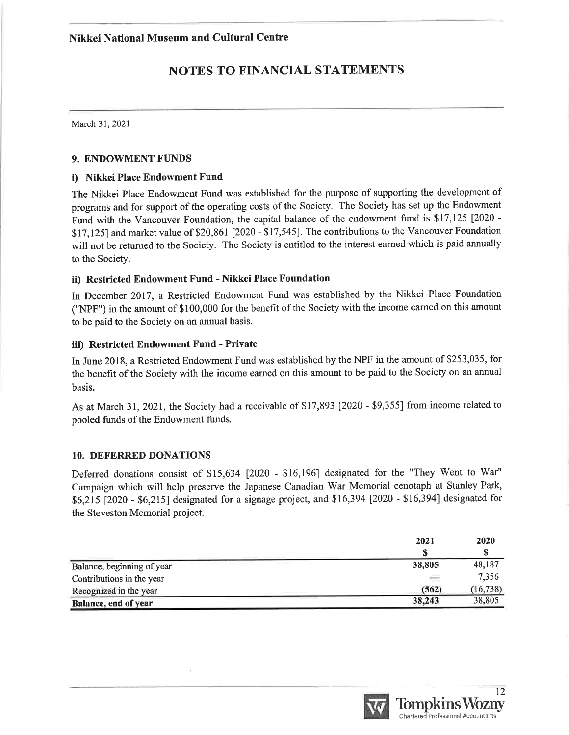March 31,2021

#### 9. ENDOWMENT FUNDS

#### i) Nikkei Place Endowment Fund

The Nikkei Place Endowment Fund was established for the purpose of supporting the development of programs and for support of the operating costs of the Society. The Society has set up the Endowment Fund with the Vancouver Foundation, the capital balance of the endowment fund is \$17,125 12020 - \$17,1251 and market value of \$20 ,861 12020 - \$17,5451. The contributions to the Vancouver Foundation will not be returned to the Society. The Society is entitled to the interest earned which is paid annually to the Society.

#### ii) Restricted Endowment Fund - Nikkei Place Foundation

ln December 2017, a Restricted Endowment Fund was established by the Nikkei Place Foundation ("NPF") in the amount of \$100,000 for the benefit of the Society with the income earned on this amount to be paid to the Society on an annual basis.

#### iii) Restricted Endowment Fund - Private

In June 2018, a Restricted Endowment Fund was established by the NPF in the amount of \$253,035, for the benefit of the Society with the income eamed on this amount to be paid to the Society on an annual basis.

As at March 31, 2021, the Society had a receivable of \$17,893 [2020 - \$9,355] from income related to pooled funds of the Endowment funds.

#### 10. DEFERRED DONATIONS

Deferred donations consist of \$15,634 [2020 - \$16,196] designated for the "They Went to War" Campaign which will help preserve the Japanese Canadian War Memorial cenotaph at Stanley Park, \$6,215 12020 - \$6,2151 designated for a signage project, and \$16,394 [2020 - \$16,394] designated for the Steveston Memorial project.

|                            | 2021                     | 2020      |
|----------------------------|--------------------------|-----------|
|                            |                          |           |
| Balance, beginning of year | 38,805                   | 48,187    |
| Contributions in the year  | $\overline{\phantom{a}}$ | 7,356     |
| Recognized in the year     | (562)                    | (16, 738) |
| Balance, end of year       | 38,243                   | 38,805    |

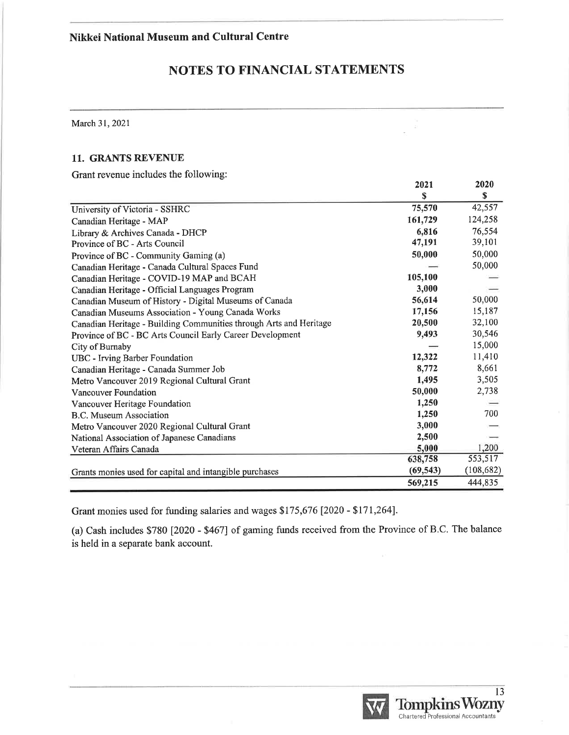$\frac{1}{2}$ 

March 31,2021

#### 11. GRANTS REVENUE

Grant revenue includes the following:

|                                                                    | 2021      | 2020       |
|--------------------------------------------------------------------|-----------|------------|
|                                                                    | \$        | \$         |
| University of Victoria - SSHRC                                     | 75,570    | 42,557     |
| Canadian Heritage - MAP                                            | 161,729   | 124,258    |
| Library & Archives Canada - DHCP                                   | 6,816     | 76,554     |
| Province of BC - Arts Council                                      | 47,191    | 39,101     |
| Province of BC - Community Gaming (a)                              | 50,000    | 50,000     |
| Canadian Heritage - Canada Cultural Spaces Fund                    |           | 50,000     |
| Canadian Heritage - COVID-19 MAP and BCAH                          | 105,100   |            |
| Canadian Heritage - Official Languages Program                     | 3,000     |            |
| Canadian Museum of History - Digital Museums of Canada             | 56,614    | 50,000     |
| Canadian Museums Association - Young Canada Works                  | 17,156    | 15,187     |
| Canadian Heritage - Building Communities through Arts and Heritage | 20,500    | 32,100     |
| Province of BC - BC Arts Council Early Career Development          | 9,493     | 30,546     |
| City of Burnaby                                                    |           | 15,000     |
| <b>UBC</b> - Irving Barber Foundation                              | 12,322    | 11,410     |
| Canadian Heritage - Canada Summer Job                              | 8,772     | 8,661      |
| Metro Vancouver 2019 Regional Cultural Grant                       | 1,495     | 3,505      |
| Vancouver Foundation                                               | 50,000    | 2,738      |
| Vancouver Heritage Foundation                                      | 1,250     |            |
| B.C. Museum Association                                            | 1,250     | 700        |
| Metro Vancouver 2020 Regional Cultural Grant                       | 3,000     |            |
| National Association of Japanese Canadians                         | 2,500     |            |
| Veteran Affairs Canada                                             | 5,000     | 1,200      |
|                                                                    | 638,758   | 553,517    |
| Grants monies used for capital and intangible purchases            | (69, 543) | (108, 682) |
|                                                                    | 569,215   | 444,835    |

Grant monies used for funding salaries and wages \$175,676 [2020 - \$171,264].

(a) Cash includes \$780 [2020 - \$467] of gaming funds received from the Province of B.C. The balance is held in a separate bank account.

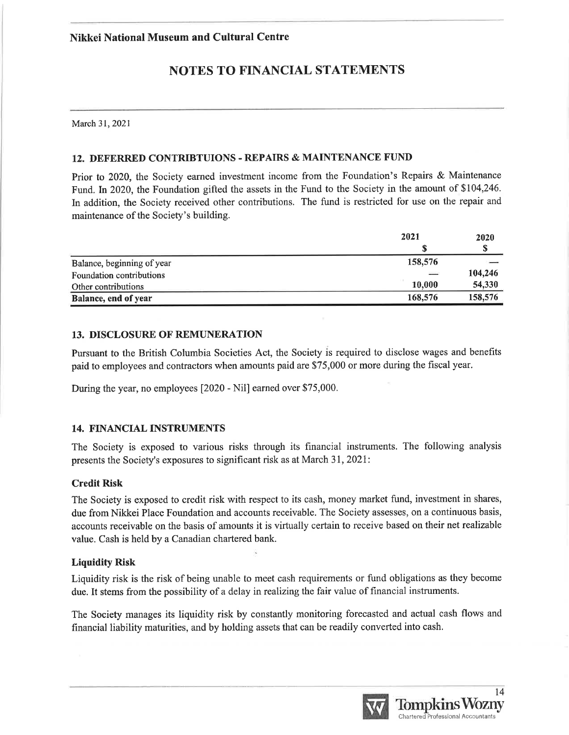March 31,2021

### 12. DEFERRED CONTRIBTUIONS. REPAIRS & MAINTENANCE FUND

Prior to 2020, the Society earned investment income from the Foundation's Repairs & Maintenance Fund. In 2020, the Foundation gifted the assets in the Fund to the Society in the amount of \$104,246. In addition, the Society received other contributions. The fund is restricted for use on the repair and maintenance of the Society's building.

|                            | 2021            | 2020    |
|----------------------------|-----------------|---------|
|                            |                 |         |
| Balance, beginning of year | 158,576         |         |
| Foundation contributions   | <b>Contract</b> | 104,246 |
| Other contributions        | 10.000          | 54,330  |
| Balance, end of year       | 168,576         | 158,576 |

### 13. DISCLOSURE OF REMUNERATION

Pursuant to the British Columbia Societies Act, the Society is required to disclose wages and benefits paid to employees and contractors when amounts paid are \$75,000 or more during the fiscal year.

During the year, no employees [2020 - Nil] earned over \$75,000.

### 14. FINANCIAL INSTRUMENTS

The Society is exposed to various risks through its financial instruments. The following analysis presents the Society's exposures to significant risk as at March 3I,2021:

### Credit Risk

The Society is exposed to credit risk with respect to its cash, money market fund, investment in shares, due from Nikkei Place Foundation and accounts receivable. The Society assesses, on a continuous basis, accounts receivable on the basis of amounts it is virtually certain to receive based on their net rcalizable value. Cash is held by a Canadian chartered bank.

### Liquidity Risk

Liquidity risk is the risk of being unable to meet cash requirements or fund obligations as they become due. It stems from the possibility of a delay in realizing the fair value of financial instruments.

The Society manages its liquidity risk by constantly monitoring forecasted and actual cash flows and financial liability maturities, and by holding assets that can be readily converted into cash,